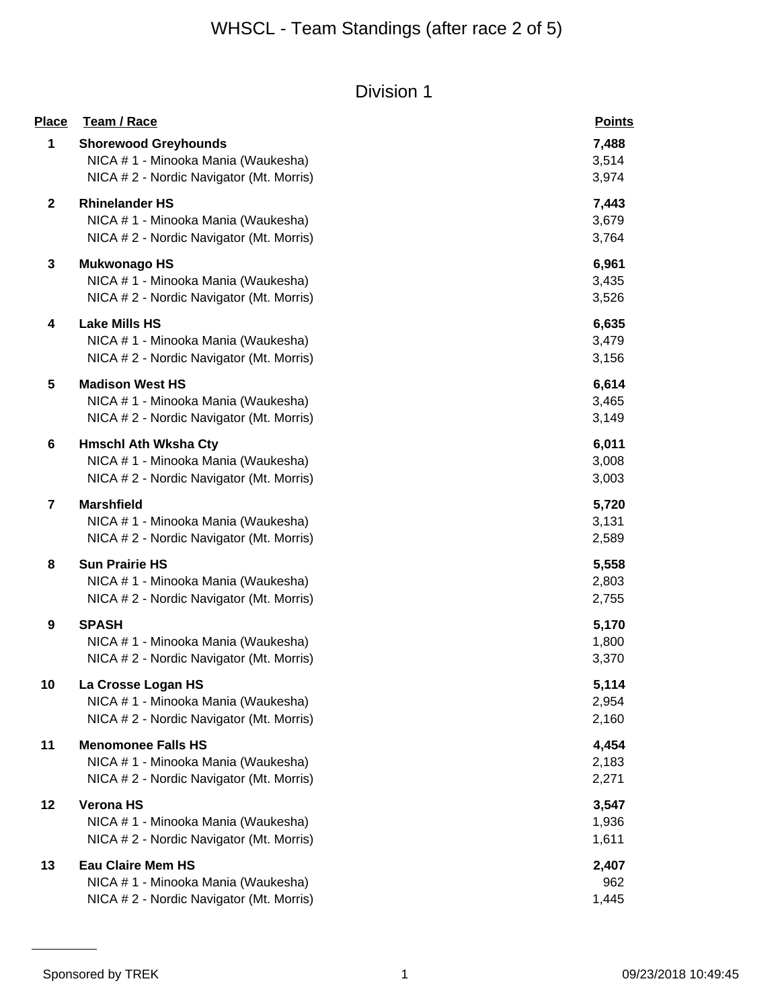| <b>Place</b> | Team / Race                                                                                                    | <b>Points</b>           |
|--------------|----------------------------------------------------------------------------------------------------------------|-------------------------|
| 1            | <b>Shorewood Greyhounds</b><br>NICA # 1 - Minooka Mania (Waukesha)<br>NICA # 2 - Nordic Navigator (Mt. Morris) | 7,488<br>3,514<br>3,974 |
| $\mathbf{2}$ | <b>Rhinelander HS</b><br>NICA # 1 - Minooka Mania (Waukesha)<br>NICA # 2 - Nordic Navigator (Mt. Morris)       | 7,443<br>3,679<br>3,764 |
| 3            | <b>Mukwonago HS</b><br>NICA # 1 - Minooka Mania (Waukesha)<br>NICA # 2 - Nordic Navigator (Mt. Morris)         | 6,961<br>3,435<br>3,526 |
| 4            | <b>Lake Mills HS</b><br>NICA # 1 - Minooka Mania (Waukesha)<br>NICA # 2 - Nordic Navigator (Mt. Morris)        | 6,635<br>3,479<br>3,156 |
| 5            | <b>Madison West HS</b><br>NICA # 1 - Minooka Mania (Waukesha)<br>NICA # 2 - Nordic Navigator (Mt. Morris)      | 6,614<br>3,465<br>3,149 |
| 6            | <b>Hmschl Ath Wksha Cty</b><br>NICA # 1 - Minooka Mania (Waukesha)<br>NICA # 2 - Nordic Navigator (Mt. Morris) | 6,011<br>3,008<br>3,003 |
| 7            | <b>Marshfield</b><br>NICA # 1 - Minooka Mania (Waukesha)<br>NICA # 2 - Nordic Navigator (Mt. Morris)           | 5,720<br>3,131<br>2,589 |
| 8            | <b>Sun Prairie HS</b><br>NICA # 1 - Minooka Mania (Waukesha)<br>NICA # 2 - Nordic Navigator (Mt. Morris)       | 5,558<br>2,803<br>2,755 |
| 9            | <b>SPASH</b><br>NICA #1 - Minooka Mania (Waukesha)<br>NICA # 2 - Nordic Navigator (Mt. Morris)                 | 5,170<br>1,800<br>3,370 |
| 10           | La Crosse Logan HS<br>NICA # 1 - Minooka Mania (Waukesha)<br>NICA # 2 - Nordic Navigator (Mt. Morris)          | 5,114<br>2,954<br>2,160 |
| 11           | <b>Menomonee Falls HS</b><br>NICA # 1 - Minooka Mania (Waukesha)<br>NICA # 2 - Nordic Navigator (Mt. Morris)   | 4,454<br>2,183<br>2,271 |
| 12           | <b>Verona HS</b><br>NICA # 1 - Minooka Mania (Waukesha)<br>NICA # 2 - Nordic Navigator (Mt. Morris)            | 3,547<br>1,936<br>1,611 |
| 13           | <b>Eau Claire Mem HS</b><br>NICA # 1 - Minooka Mania (Waukesha)<br>NICA # 2 - Nordic Navigator (Mt. Morris)    | 2,407<br>962<br>1,445   |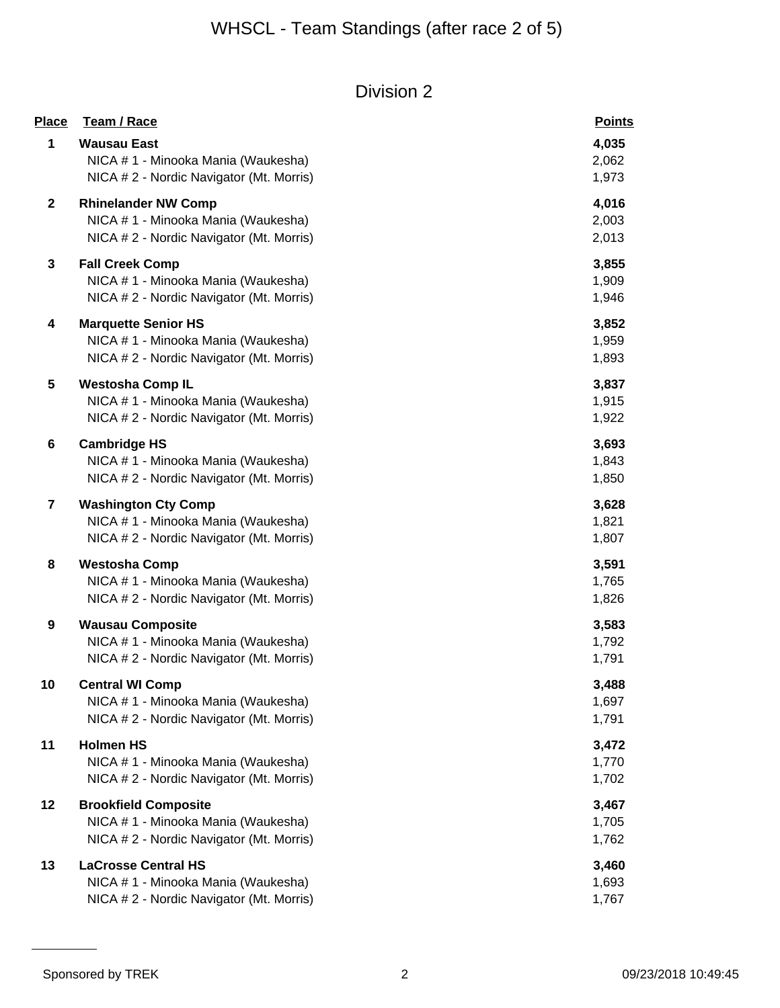| <b>Place</b> | Team / Race                                                                                                    | <b>Points</b>           |
|--------------|----------------------------------------------------------------------------------------------------------------|-------------------------|
| 1            | <b>Wausau East</b><br>NICA #1 - Minooka Mania (Waukesha)<br>NICA # 2 - Nordic Navigator (Mt. Morris)           | 4,035<br>2,062<br>1,973 |
| $\mathbf{2}$ | <b>Rhinelander NW Comp</b><br>NICA # 1 - Minooka Mania (Waukesha)<br>NICA # 2 - Nordic Navigator (Mt. Morris)  | 4,016<br>2,003<br>2,013 |
| 3            | <b>Fall Creek Comp</b><br>NICA # 1 - Minooka Mania (Waukesha)<br>NICA # 2 - Nordic Navigator (Mt. Morris)      | 3,855<br>1,909<br>1,946 |
| 4            | <b>Marquette Senior HS</b><br>NICA # 1 - Minooka Mania (Waukesha)<br>NICA # 2 - Nordic Navigator (Mt. Morris)  | 3,852<br>1,959<br>1,893 |
| 5            | <b>Westosha Comp IL</b><br>NICA # 1 - Minooka Mania (Waukesha)<br>NICA # 2 - Nordic Navigator (Mt. Morris)     | 3,837<br>1,915<br>1,922 |
| 6            | <b>Cambridge HS</b><br>NICA # 1 - Minooka Mania (Waukesha)<br>NICA # 2 - Nordic Navigator (Mt. Morris)         | 3,693<br>1,843<br>1,850 |
| 7            | <b>Washington Cty Comp</b><br>NICA # 1 - Minooka Mania (Waukesha)<br>NICA # 2 - Nordic Navigator (Mt. Morris)  | 3,628<br>1,821<br>1,807 |
| 8            | <b>Westosha Comp</b><br>NICA # 1 - Minooka Mania (Waukesha)<br>NICA # 2 - Nordic Navigator (Mt. Morris)        | 3,591<br>1,765<br>1,826 |
| 9            | <b>Wausau Composite</b><br>NICA # 1 - Minooka Mania (Waukesha)<br>NICA # 2 - Nordic Navigator (Mt. Morris)     | 3,583<br>1,792<br>1,791 |
| 10           | <b>Central WI Comp</b><br>NICA # 1 - Minooka Mania (Waukesha)<br>NICA #2 - Nordic Navigator (Mt. Morris)       | 3,488<br>1,697<br>1,791 |
| 11           | <b>Holmen HS</b><br>NICA # 1 - Minooka Mania (Waukesha)<br>NICA # 2 - Nordic Navigator (Mt. Morris)            | 3,472<br>1,770<br>1,702 |
| 12           | <b>Brookfield Composite</b><br>NICA # 1 - Minooka Mania (Waukesha)<br>NICA # 2 - Nordic Navigator (Mt. Morris) | 3,467<br>1,705<br>1,762 |
| 13           | <b>LaCrosse Central HS</b><br>NICA # 1 - Minooka Mania (Waukesha)<br>NICA #2 - Nordic Navigator (Mt. Morris)   | 3,460<br>1,693<br>1,767 |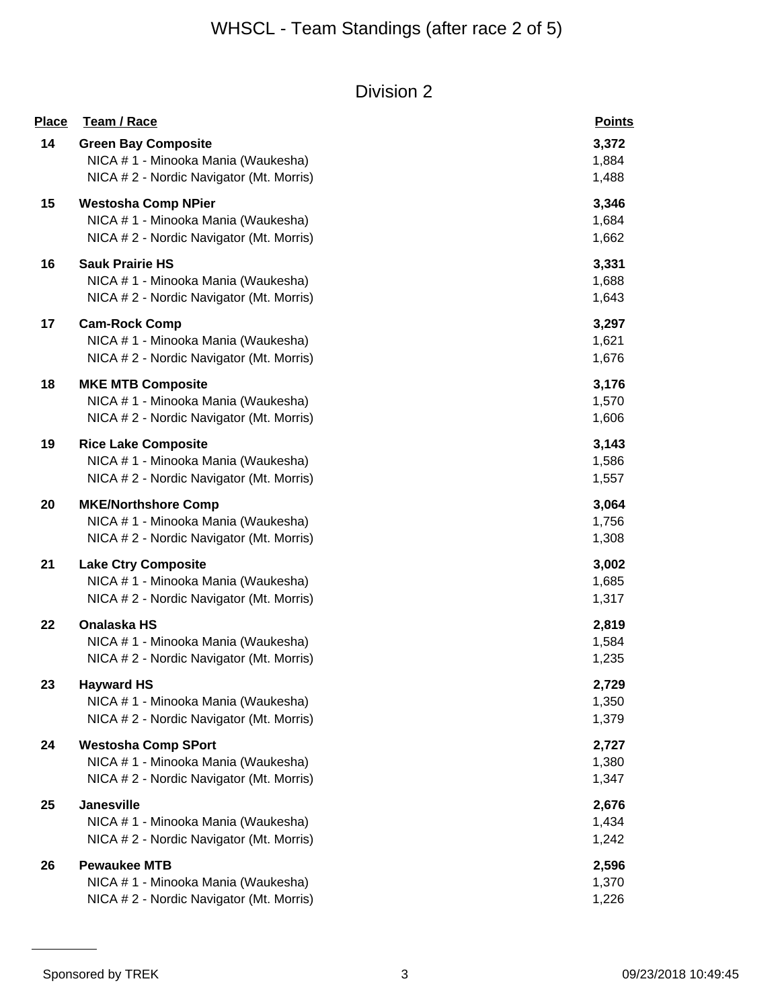| <b>Place</b> | Team / Race                              | <b>Points</b> |
|--------------|------------------------------------------|---------------|
| 14           | <b>Green Bay Composite</b>               | 3,372         |
|              | NICA # 1 - Minooka Mania (Waukesha)      | 1,884         |
|              | NICA # 2 - Nordic Navigator (Mt. Morris) | 1,488         |
| 15           | <b>Westosha Comp NPier</b>               | 3,346         |
|              | NICA # 1 - Minooka Mania (Waukesha)      | 1,684         |
|              | NICA # 2 - Nordic Navigator (Mt. Morris) | 1,662         |
| 16           | <b>Sauk Prairie HS</b>                   | 3,331         |
|              | NICA # 1 - Minooka Mania (Waukesha)      | 1,688         |
|              | NICA # 2 - Nordic Navigator (Mt. Morris) | 1,643         |
| 17           | <b>Cam-Rock Comp</b>                     | 3,297         |
|              | NICA # 1 - Minooka Mania (Waukesha)      | 1,621         |
|              | NICA # 2 - Nordic Navigator (Mt. Morris) | 1,676         |
| 18           | <b>MKE MTB Composite</b>                 | 3,176         |
|              | NICA # 1 - Minooka Mania (Waukesha)      | 1,570         |
|              | NICA # 2 - Nordic Navigator (Mt. Morris) | 1,606         |
| 19           | <b>Rice Lake Composite</b>               | 3,143         |
|              | NICA # 1 - Minooka Mania (Waukesha)      | 1,586         |
|              | NICA # 2 - Nordic Navigator (Mt. Morris) | 1,557         |
| 20           | <b>MKE/Northshore Comp</b>               | 3,064         |
|              | NICA # 1 - Minooka Mania (Waukesha)      | 1,756         |
|              | NICA # 2 - Nordic Navigator (Mt. Morris) | 1,308         |
| 21           | <b>Lake Ctry Composite</b>               | 3,002         |
|              | NICA # 1 - Minooka Mania (Waukesha)      | 1,685         |
|              | NICA #2 - Nordic Navigator (Mt. Morris)  | 1,317         |
| 22           | <b>Onalaska HS</b>                       | 2,819         |
|              | NICA # 1 - Minooka Mania (Waukesha)      | 1,584         |
|              | NICA # 2 - Nordic Navigator (Mt. Morris) | 1,235         |
| 23           | <b>Hayward HS</b>                        | 2,729         |
|              | NICA #1 - Minooka Mania (Waukesha)       | 1,350         |
|              | NICA # 2 - Nordic Navigator (Mt. Morris) | 1,379         |
| 24           | <b>Westosha Comp SPort</b>               | 2,727         |
|              | NICA # 1 - Minooka Mania (Waukesha)      | 1,380         |
|              | NICA # 2 - Nordic Navigator (Mt. Morris) | 1,347         |
| 25           | Janesville                               | 2,676         |
|              | NICA # 1 - Minooka Mania (Waukesha)      | 1,434         |
|              | NICA # 2 - Nordic Navigator (Mt. Morris) | 1,242         |
| 26           | <b>Pewaukee MTB</b>                      | 2,596         |
|              | NICA # 1 - Minooka Mania (Waukesha)      | 1,370         |
|              | NICA # 2 - Nordic Navigator (Mt. Morris) | 1,226         |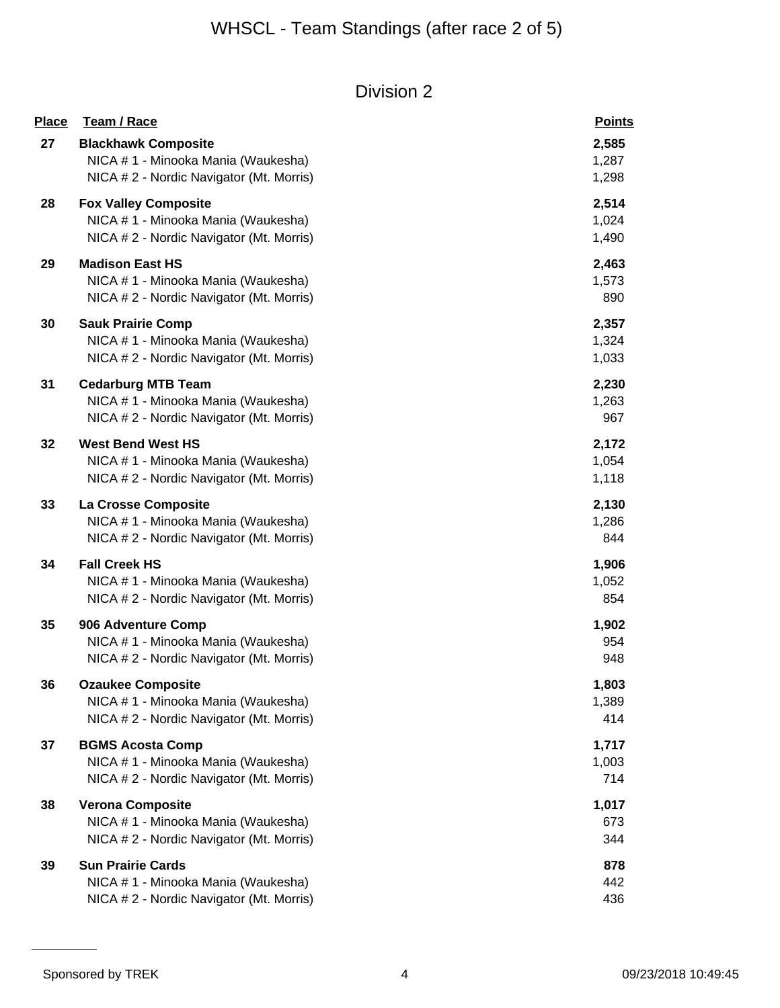| <b>Place</b> | Team / Race                              | <b>Points</b> |
|--------------|------------------------------------------|---------------|
| 27           | <b>Blackhawk Composite</b>               | 2,585         |
|              | NICA # 1 - Minooka Mania (Waukesha)      | 1,287         |
|              | NICA # 2 - Nordic Navigator (Mt. Morris) | 1,298         |
| 28           | <b>Fox Valley Composite</b>              | 2,514         |
|              | NICA # 1 - Minooka Mania (Waukesha)      | 1,024         |
|              | NICA # 2 - Nordic Navigator (Mt. Morris) | 1,490         |
| 29           | <b>Madison East HS</b>                   | 2,463         |
|              | NICA # 1 - Minooka Mania (Waukesha)      | 1,573         |
|              | NICA # 2 - Nordic Navigator (Mt. Morris) | 890           |
| 30           | <b>Sauk Prairie Comp</b>                 | 2,357         |
|              | NICA # 1 - Minooka Mania (Waukesha)      | 1,324         |
|              | NICA # 2 - Nordic Navigator (Mt. Morris) | 1,033         |
| 31           | <b>Cedarburg MTB Team</b>                | 2,230         |
|              | NICA # 1 - Minooka Mania (Waukesha)      | 1,263         |
|              | NICA # 2 - Nordic Navigator (Mt. Morris) | 967           |
| 32           | <b>West Bend West HS</b>                 | 2,172         |
|              | NICA # 1 - Minooka Mania (Waukesha)      | 1,054         |
|              | NICA # 2 - Nordic Navigator (Mt. Morris) | 1,118         |
| 33           | La Crosse Composite                      | 2,130         |
|              | NICA # 1 - Minooka Mania (Waukesha)      | 1,286         |
|              | NICA # 2 - Nordic Navigator (Mt. Morris) | 844           |
| 34           | <b>Fall Creek HS</b>                     | 1,906         |
|              | NICA # 1 - Minooka Mania (Waukesha)      | 1,052         |
|              | NICA # 2 - Nordic Navigator (Mt. Morris) | 854           |
| 35           | 906 Adventure Comp                       | 1,902         |
|              | NICA # 1 - Minooka Mania (Waukesha)      | 954           |
|              | NICA # 2 - Nordic Navigator (Mt. Morris) | 948           |
| 36           | <b>Ozaukee Composite</b>                 | 1,803         |
|              | NICA # 1 - Minooka Mania (Waukesha)      | 1,389         |
|              | NICA # 2 - Nordic Navigator (Mt. Morris) | 414           |
| 37           | <b>BGMS Acosta Comp</b>                  | 1,717         |
|              | NICA # 1 - Minooka Mania (Waukesha)      | 1,003         |
|              | NICA # 2 - Nordic Navigator (Mt. Morris) | 714           |
| 38           | <b>Verona Composite</b>                  | 1,017         |
|              | NICA # 1 - Minooka Mania (Waukesha)      | 673           |
|              | NICA # 2 - Nordic Navigator (Mt. Morris) | 344           |
| 39           | <b>Sun Prairie Cards</b>                 | 878           |
|              | NICA # 1 - Minooka Mania (Waukesha)      | 442           |
|              | NICA # 2 - Nordic Navigator (Mt. Morris) | 436           |